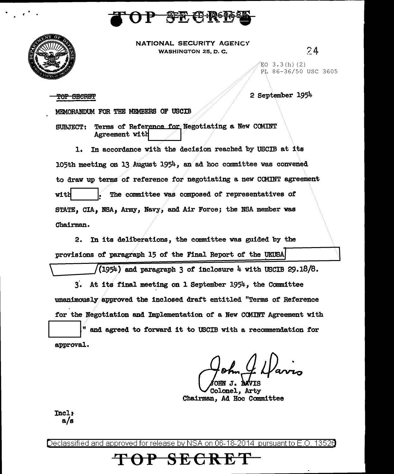



NATIONAL SECURITY AGENCY WASHINGTON 25, D. C.

24

 $EO$  3.3(h)(2) PL 86-36/50 USC 3605

2 September 1954

TOP SECRET

MEMORANDUM FOR THE MEMBERS OF USCIB

Terms of Reference for Negotiating a New COMINT **SUBJECT:** Agreement with

1. In accordance with the decision reached by USCIB at its 105th meeting on 13 August 1954, an ad hoc committee was convened to draw up terms of reference for negotiating a new COMINT agreement The committee was composed of representatives of with STATE. CIA. NSA. Army, Navy, and Air Force; the NSA member was Chairman.

2. In its deliberations, the committee was guided by the provisions of paragraph 15 of the Final Report of the UKUSA

 $(1954)$  and paragraph 3 of inclosure 4 with USCIB 29.18/8.

3. At its final meeting on 1 September 1954, the Committee unanimously approved the inclosed draft entitled "Terms of Reference for the Negotiation and Implementation of a New COMINT Agreement with and agreed to forward it to USCIB with a recommendation for approval.

Colonel, Arty Chairman, Ad Hoc Committee

Incl:  $a/s$ 

Declassified and approved for release by NSA on 06-18-2014 pursuant to E.O. 13526

だせ长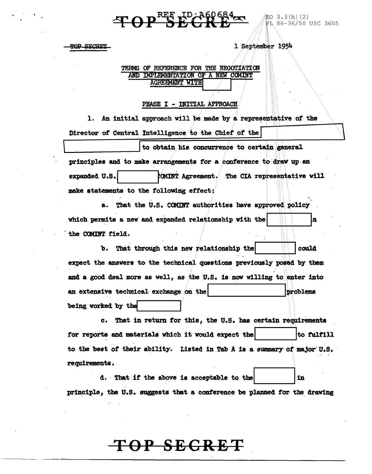### $\left\{ \text{P} \right\}$   $\mathbf{P}^{\text{REF}}$   $\mathbf{R}$   $\mathbf{R}$   $\mathbf{R}$

EO  $3.3(h)$  (2) PL 86-36/50 USC 3605

**TOP SECRET** 

1 September 1954

#### TERMS OF REFERENCE FOR THE NEGOTIATION AND IMPLEMENTATION OF A NEW COMINT **AGREEMENT WITH**

#### PHASE I - INITIAL APPROACH

1. An initial approach will be made by a representative of the Director of Central Intelligence to the Chief of the

to obtain his concurrence to certain general principles and to make arrangements for a conference to draw up an expanded U.S. COMINT Agreement. The CIA representative will make statements to the following effect:

That the U.S. COMINT authorities have approved policy a. which permits a new and expanded relationship with the the COMINT field.

That through this new relationship the could ъ. expect the answers to the technical questions previously posed by them and a good deal more as well, as the U.S. is now willing to enter into an extensive technical exchange on the problems being worked by the

c. That in return for this, the U.S. has certain requirements for reports and materials which it would expect the to fulfill to the best of their ability. Listed in Tab A is a summary of major U.S. requirements.

d. That if the above is acceptable to the in. principle, the U.S. suggests that a conference be planned for the drawing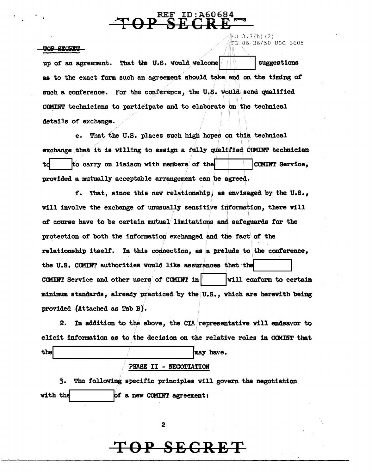# $TOP \overset{\text{REF ID}: A60684}{SECRE}$

!Eo 3.3(h) (2)

PL 86~36/50 USC 3605

#### TOP SECRET

up of an agreement. That the U.S. would welcome  $\parallel$ .... I suggestions as to the exact form such an agreement should take and on the timing of such a conference. For the conference, the U.S. would send qualified CCMINT technicians to participate and to elaborate on the technical details of exchange.

e. That the U.S. places such high hopes on this technical exchange that it is willing to assign a fully qualified COMINT technician td. to carry on liaison with members of the  $|$  COMINT Service, provided a mutually acceptable arrangement can be agreed.

f. That, since this new relationship, as envisaged by the U.S., will involve the exchange of unusually sensitive information, there will *ot* course have to be certain mutual. limitations and safeguards for the protection of both the information exchanged and the fact of the relationship itself. In this connection, as a prelude to the conference, the U.S. COMINT authorities would like assurances that the CCMINT Service and other users of CCMINT in  $\vert$  will conform to certain minimum standards, already practiced by the U.S., which are herewith being provided (Attached as Tab B).

2. In addition to the above, the CIA representative will endeavor to elicit information as to the decision on the relative roles in COMINT that  $\frac{1}{\sqrt{1-\frac{1}{\sqrt{1-\frac{1}{\sqrt{1-\frac{1}{\sqrt{1-\frac{1}{\sqrt{1-\frac{1}{\sqrt{1-\frac{1}{\sqrt{1-\frac{1}{\sqrt{1-\frac{1}{\sqrt{1-\frac{1}{\sqrt{1-\frac{1}{\sqrt{1-\frac{1}{\sqrt{1-\frac{1}{\sqrt{1-\frac{1}{\sqrt{1-\frac{1}{\sqrt{1-\frac{1}{\sqrt{1-\frac{1}{\sqrt{1-\frac{1}{\sqrt{1-\frac{1}{\sqrt{1-\frac{1}{\sqrt{1-\frac{1}{\sqrt{1-\frac{1}{\sqrt{1-\frac{1}{\sqrt{1-\frac{1}{\sqrt{1-\frac{1$ 

#### PHASE II - NEGOTIATION

3. The following specific principles will govern the negotiation with the  $\qquad \qquad$  of a new COMINT agreement:

2

#### **OP SECR**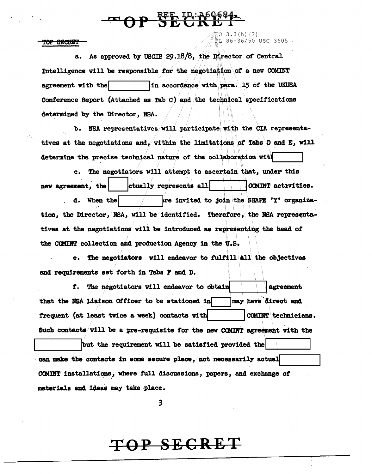### **P SEE ID: A60684-**

TOP SECRET

記0 3.3(h)(2)<br>ヹエ 86-36/50 USC 3605

a. As approved by USCIB 29.18/8, the Director of Central Intelligence will be responsible for the negotiation of a new COMINT In accordance with para. 15 of the UKUSA agreement with the Conference Report (Attached as Tab C) and the technical specifications determined by the Director, NSA.

b. NSA representatives will participate with the CIA representatives at the negotiations and, within the limitations of Tabs D and E, will determine the precise technical nature of the collaboration with

c. The negotiators will attempt to ascertain that, under this ctually represents all COMINT actrvities. new agreement, the re invited to join the SHAPE 'Y' organizad. When the tion, the Director, NSA, will be identified. Therefore, the NSA representatives at the negotiations will be introduced as representing the head of the COMINT collection and production Agency in the U.S.

The negotiators will endeavor to fulfill all the objectives and requirements set forth in Tabs F and D.

f. The negotiators will endeavor to obtain agreement that the NSA Liaison Officer to be stationed in may have direct and frequent (at least twice a week) contacts with COMINT technicians. Such contacts will be a pre-requisite for the new COMINT agreement with the but the requirement will be satisfied provided the

can make the contacts in some secure place, not necessarily actual COMINT installations, where full discussions, papers, and exchange of materials and ideas may take place.

3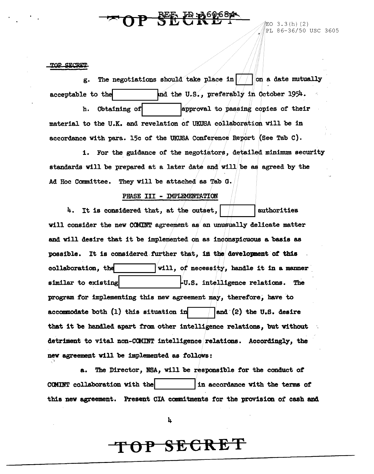### **PER P ROLEGEA**

[PL 86-36/50 USC 3605

#### TOP SECRET

g. The negotiations should take place in  $\frac{2}{\pi}$  on a date mutually acceptable to the  $and$  the U.S., preferably in October 1954. h. Obtaining of **lapproval** to passing copies of their material to the U.K. and revelation of UKUSA collaboration will be in accordance with para. 15c of the UKUSA Conference Report (See Tab C).

1. For the guidance of the negotiators, detailed minimum security standards will be prepared at a later date and will be as agreed by the Ad Hoc Committee. They will be attached as Tab G.

#### PHASE III - IMPLEMENTATION

4. It is considered that, at the outset,  $\frac{1}{1}$  ... ... | authorities will consider the new COMINT agreement as an unusually delicate matter and will desire that it be implemented on as inconspicuous a basis as possible. It is considered further that, in the development of this collaboration, the **will**, of necessity, handle it in a manner similar to existing  $\vert$   $\vert$  . Fu.s. intelligence relations. The program for implementing this new agreement may, therefore; have to accommodate both  $(1)$  this situation in  $\qquad$  and  $(2)$  the U.S. desire that it be handled apart from other intelligence relations, but without detriment to vital non-COMINT intelligence relations. Accordingly, the new agreement will be implemented as follows:

a. The Director, RSA, will be responsible for the conduct of CCMINT collaboration with the  $\vert$  in accordance with the terms of this new agreement. Present CIA commitments for the provision of cash and

4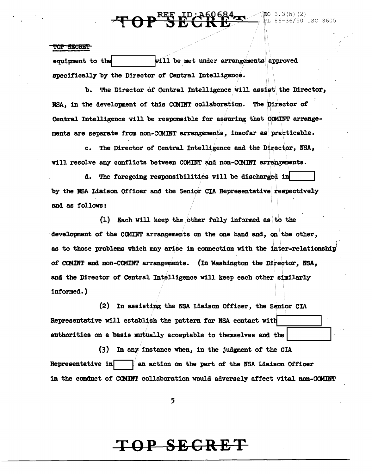# **TOP SEGREE REPAIR**

#### EO 3.3(h)(2)<br>PL 86-36/50 USC 3605

#### **TOP SECRET**

will be met under arrangements approved equipment to the specifically by the Director of Central Intelligence.

b. The Director of Central Intelligence will assist the Director, NSA. in the development of this COMINT collaboration. The Director of Central Intelligence will be responsible for assuring that COMINT arrangements are separate from non-COMINT arrangements, insofar as practicable.

c. The Director of Central Intelligence and the Director, NSA, will resolve any conflicts between COMINT and non-COMINT arrangements.

d. The foregoing responsibilities will be discharged in by the NSA Liaison Officer and the Senior CIA Representative respectively and as follows:

(1) Each will keep the other fully informed as to the development of the COMINT arrangements on the one hand and, on the other, as to those problems which may arise in connection with the inter-relationship of COMINT and non-COMINT arrangements. (In Washington the Director, NSA, and the Director of Central Intelligence will keep each other similarly informed.)

(2) In assisting the NSA Liaison Officer, the Senior CIA Representative will establish the pattern for NSA contact with authorities on a basis mutually acceptable to themselves and the

 $(3)$  In any instance when, in the judgment of the CIA Representative in an action on the part of the NSA Liaison Officer in the conduct of COMINT collaboration would adversely affect vital non-COMINT

5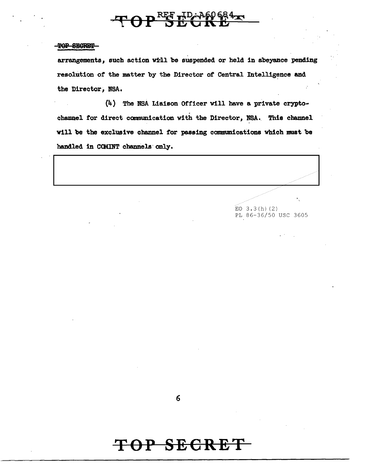# $\mathcal{F} \Theta \mathbf{P} \mathbf{E}^{\text{RF}}$

#### TOP SECRET

arrangements, such action will be suspended or held in abeyance pending resolution of the matter by the Director of Central Intelligence and the Director */* NBA,

(4) The NSA Liaison Officer Will have a private crypto• channel for direct communication with the Director, NSA. This channel will be the exclusive channel for passing communications which must be handled in COMINT channels only. (4) The NSA Liaison Officer Will have a private crypto-<br>channel for direct communication with the Director, NSA. This channel<br>will be the exclusive channel for passing communications which must be<br>handled in COMINT channel

> $EO$  3.3(h)(2) PL 86-36/50 USC 3605

6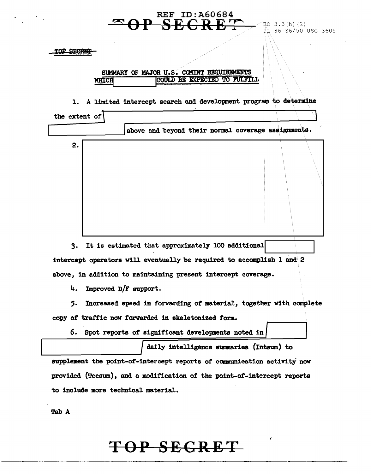| TOP SECRES    |                       |                                                     |                                                                                                                                        |  |
|---------------|-----------------------|-----------------------------------------------------|----------------------------------------------------------------------------------------------------------------------------------------|--|
|               | WHICH                 |                                                     | SUMMARY OF MAJOR U.S. COMINT REQUIREMENTS<br>COULD BE EXPECTED TO FULFILL                                                              |  |
| ı.            |                       |                                                     | A limited intercept search and development program to determine                                                                        |  |
| the extent of |                       |                                                     |                                                                                                                                        |  |
|               |                       |                                                     | above and beyond their normal coverage assignments.                                                                                    |  |
| 2.            |                       |                                                     |                                                                                                                                        |  |
|               |                       |                                                     |                                                                                                                                        |  |
|               |                       |                                                     |                                                                                                                                        |  |
|               |                       |                                                     | 3. It is estimated that approximately 100 additional                                                                                   |  |
|               |                       |                                                     | intercept operators will eventually be required to accomplish 1 and 2<br>above, in addition to maintaining present intercept coverage. |  |
| 4.            | Improved D/F support. |                                                     |                                                                                                                                        |  |
| 5.            |                       |                                                     | Increased speed in forwarding of material, together with complete                                                                      |  |
|               |                       | copy of traffic now forwarded in skeletonized form. |                                                                                                                                        |  |
|               |                       |                                                     | 6. Spot reports of significant developments noted in                                                                                   |  |
|               |                       |                                                     | daily intelligence summaries (Intsum) to                                                                                               |  |
|               |                       |                                                     | supplement the point-of-intercept reports of communication activity now                                                                |  |
|               |                       |                                                     | provided (Tecsum), and a modification of the point-of-intercept reports                                                                |  |

 $\mathcal{L}(\mathcal{E})$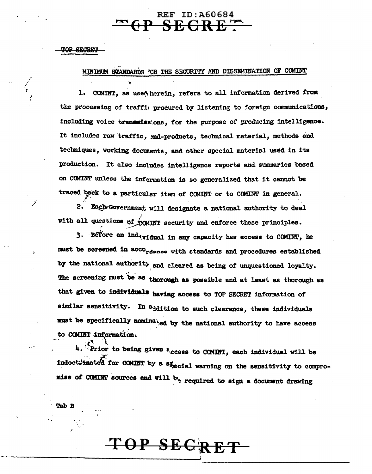#### MINIMUM SCANDARDS FOR THE SECURITY AND DISSEMINATION OF COMINT

**REF ID:A60684 SECRE** 

COMINT, as used herein, refers to all information derived from ı. the processing of traffic procured by listening to foreign communications, including voice transmisshons, for the purpose of producing intelligence. It includes raw traffic, end-products, technical material, methods and techniques, working documents, and other special material used in its production. It also includes intelligence reports and summaries based on COMINT unless the information is so generalized that it cannot be traced back to a particular item of COMINT or to COMINT in general.

2. Each Government will designate a national authority to deal with all questions of COMINT security and enforce these principles.

3. Before an ind<sub>ividual</sub> in any capacity has access to COMINT, he must be screened in acco<sub>rdance</sub> with standards and procedures established by the national authority and cleared as being of unquestioned loyalty. The screening must be as thorough as possible and at least as thorough as that given to individuals having access to TOP SECRET information of similar sensitivity. In addition to such clearance, these individuals must be specifically nominated by the national authority to have access to COMINT information.

4. Prior to being given  $\epsilon$  ccess to COMINT, each individual will be indoctrinated for COMINT by a special warning on the sensitivity to compromise of COMINT sources and will b<sub>'</sub> required to sign a document drawing

TOP SECR

Tab B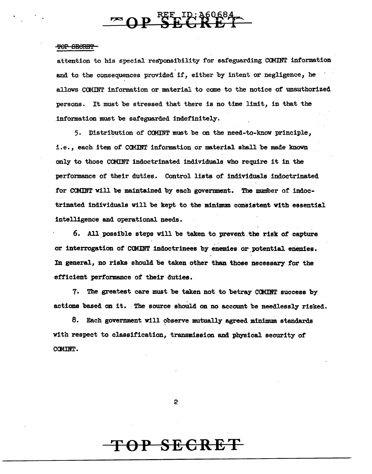$\mathbf{P} \overset{\text{RKF}\rightarrow\text{ID}}{\longrightarrow} \mathbf{R} \overset{\text{RQ}}{\longrightarrow} \mathbf{R} \overset{\text{RQ}}{\longrightarrow} \mathbf{R}$ 

attention to his special responsibility for safeguarding COMINT information and to the consequences provided if, either by intent or negligence, he allows COMINT information or material to come to the notice of unauthorized persons. It must be stressed that there is no time limit, in that the .information must be safeguarded indefinitely.

5. Distribution of COMINT must be on the need-to-know principle, i.e., each item of COMINT information or material shall be made known only to those COMINT indoctrinated individuals who require it in the performance of their duties. Control lists of individuals indoctrinated for COMINT will be maintained by each government. The number of indoctrinated individuals will be kept to the minimum consistent with essential intelligence and operational needs.

6. All possible steps will be taken to prevent the risk of capture or interrogation of COMINT indoctrinees by enemies or potential enemies. In general, no risks should be taken other than those necessary *tor* the efficient performance of their duties.

1~ The greatest care must be taken not to betray CCMINT success by actions based on it. The source should on no account be needlessly risked.

8. Each government will observe mutually agreed minimum standards with respect to classification, transmission and physical security of COMINT.

2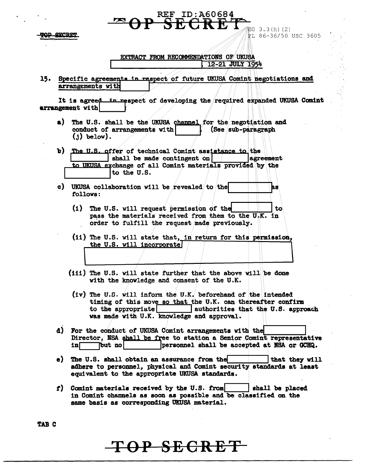EO  $3.3(h)$  (2)  $E186-36/50$  USC 3605

#### EXTRACT FROM RECOMMENDATIONS OF UKUSA 12-21 JULY 1954

**REF ID:A60684 ECRE** 

15. Specific agreements in respect of future UKUSA Comint negotiations and arrangements with

It is agreed in respect of developing the required expanded UKUSA Comint arrangement with

- The U.S. shall be the UKUSA channel for the negotiation and a) conduct of arrangements with (See sub-paragraph  $(1)$  below).
- b) The U.S. offer of technical Comint assistance to the  $\left| \right|$  shall be made contingent on *lagreement* to UKUSA exchange of all Comint materials provided by the to the U.S.
- c) UKUSA collaboration will be revealed to the h۵ follows:
	- (1) The U.S. will request permission of the to pass the materials received from them to the U.K. in order to fulfill the request made previously.
	- (ii) The U.S. will state that, in return for this permission, the U.S. will incorporate
	- (iii) The U.S. will state further that the above will be done with the knowledge and consent of the U.K.
	- (iv) The U.S. will inform the U.K. beforehand of the intended timing of this move so that the U.K. can thereafter confirm to the appropriate | authorities that the U.S. approach was made with U.K. knowledge and approval.
- d) For the conduct of UKUSA Comint arrangements with the Director, NSA shall be free to station a Senior Comint representative Tbut nol personnel shall be accepted at NSA or GCHQ.  $\ln \Box$
- e) The U.S. shall obtain an assurance from the that they will adhere to personnel, physical and Comint security standards at least equivalent to the appropriate UKUSA standards.
- $f$ ) Comint materials received by the U.S. from shall be placed in Comint channels as soon as possible and be classified on the same basis as corresponding UKUSA material.

**TAB C**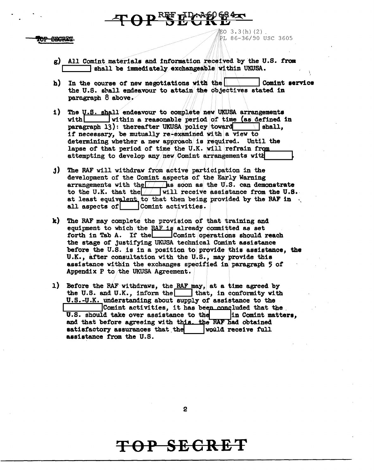・<br>EO 3.3(h)(2). PL 86-36/50 USC 3605

- g) All Comint materials and information received by the U.S. from shall be immediately exchangeable within UKUSA.
- h) In the course of new negotiations with the Comint service the U.S. shall endeavour to attain the objectives stated in paragraph  $8$  above.

POPETIDAR 1984-

- 1) The U.S. shall endeavour to complete new UKUSA arrangements within a reasonable period of time (as defined in vith! paragraph 13): thereafter UKUSA policy toward  $\blacksquare$  shall. if necessary, be mutually re-examined with a view to determining whether a new approach is required. Until the lapse of that period of time the U.K. will refrain from attempting to develop any new Comint arrangements with
- i) The RAF will withdraw from active participation in the development of the Comint aspects of the Early Warning arrangements with the  $\sqrt{ }$  as soon as the U.S. can demonstrate to the U.K. that the  $\sqrt{\frac{1}{1}}$  will receive assistance from the U.S. at least equivalent to that then being provided by the RAF in. all aspects of | Comint activities.
- k) The RAF may complete the provision of that training and equipment to which the RAF is already committed as set forth in Tab A. If the | Comint operations should reach the stage of justifying UKUSA technical Comint assistance before the U.S. is in a position to provide this assistance, the U.K., after consultation with the U.S., may provide this assistance within the exchanges specified in paragraph 5 of Appendix P to the UKUSA Agreement.
- 1) Before the RAF withdraws, the RAF may, at a time agreed by the U.S. and U.K., inform the  $|$  that, in conformity with U.S.-U.K. understanding about supply of assistance to the Comint activities, it has been concluded that the U.S. should take over assistance to the in Comint matters. and that before agreeing with this. the RAF had obtained satisfactory assurances that the | would receive full assistance from the U.S.

 $\overline{2}$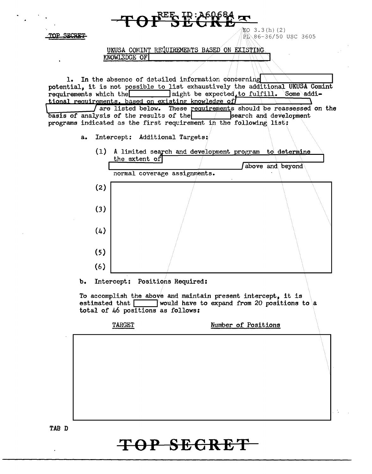| $RE_{\bigcirc}$ ID: A60684                                                                                                                                                                                                                                                                                                                                                                                                                                                                       |  |  |  |  |
|--------------------------------------------------------------------------------------------------------------------------------------------------------------------------------------------------------------------------------------------------------------------------------------------------------------------------------------------------------------------------------------------------------------------------------------------------------------------------------------------------|--|--|--|--|
| EO $3.3(h)$ (2)<br>OP SECRET<br>煎 86-36/50 USC 3605                                                                                                                                                                                                                                                                                                                                                                                                                                              |  |  |  |  |
| UKUSA COMINT REQUIREMENTS BASED ON EXISTING<br>KNOWLEDGE OF                                                                                                                                                                                                                                                                                                                                                                                                                                      |  |  |  |  |
|                                                                                                                                                                                                                                                                                                                                                                                                                                                                                                  |  |  |  |  |
| In the absence of detailed information concerning<br>1.<br>potential, it is not possible to list exhaustively the additional UKUSA Comint<br>requirements which the might be expected to fulfill. Some addi-<br>tional requirements. based on existing knowledge of<br>are listed below. These requirements should be reassessed on the<br>basis of analysis of the results of the search and developrograms indicated as the first requirement in the following list:<br>search and development |  |  |  |  |
| Intercept: Additional Targets:<br>a.                                                                                                                                                                                                                                                                                                                                                                                                                                                             |  |  |  |  |
| (1)<br>A limited search and development program to determine<br>the extent of                                                                                                                                                                                                                                                                                                                                                                                                                    |  |  |  |  |
| above and beyond<br>normal coverage assignments.                                                                                                                                                                                                                                                                                                                                                                                                                                                 |  |  |  |  |
| (2)                                                                                                                                                                                                                                                                                                                                                                                                                                                                                              |  |  |  |  |
| (3)                                                                                                                                                                                                                                                                                                                                                                                                                                                                                              |  |  |  |  |
| (4)                                                                                                                                                                                                                                                                                                                                                                                                                                                                                              |  |  |  |  |
| (5)                                                                                                                                                                                                                                                                                                                                                                                                                                                                                              |  |  |  |  |
| (6)                                                                                                                                                                                                                                                                                                                                                                                                                                                                                              |  |  |  |  |
| Intercept: Positions Required:<br>b.                                                                                                                                                                                                                                                                                                                                                                                                                                                             |  |  |  |  |
| To accomplish the above and maintain present intercept, it is<br>would have to expand from 20 positions to a<br>estimated that [<br>total of 46 positions as follows:                                                                                                                                                                                                                                                                                                                            |  |  |  |  |
| TARGET<br>Number of Positions                                                                                                                                                                                                                                                                                                                                                                                                                                                                    |  |  |  |  |
|                                                                                                                                                                                                                                                                                                                                                                                                                                                                                                  |  |  |  |  |
|                                                                                                                                                                                                                                                                                                                                                                                                                                                                                                  |  |  |  |  |
| TAB D                                                                                                                                                                                                                                                                                                                                                                                                                                                                                            |  |  |  |  |
| TOP SECRET                                                                                                                                                                                                                                                                                                                                                                                                                                                                                       |  |  |  |  |

 $\bullet$ 

 $\sim$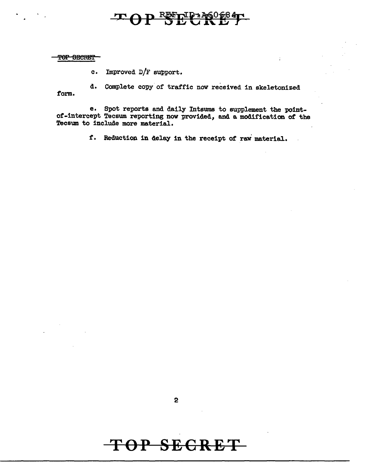### REFTIP 1460

 $\overline{\mathbf{r}}$ 

TOP SECRET

c. Improved D/F support.

d. Complete copy of traffic now received in skeletonized form.

e. Spot reports and daily Intsums to supplement the Pointof-intercept Tecsum reporting now provided, and a modification of the Tecsum. to include more material.

f. Reduction in delay in the receipt of rav material.

2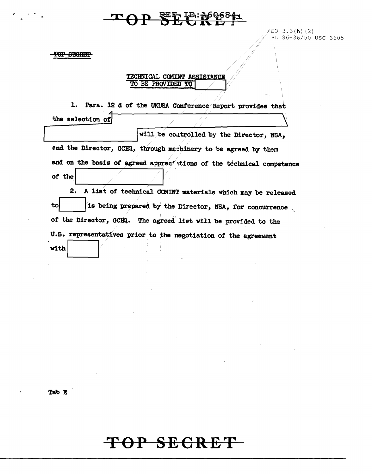### **KERT TO: POGG84**

EO  $3.3(h)$  (2) PL 86-36/50 USC 3605

TOP SECRET

TECHNICAL COMINT ASSISTANCE TO BE PROVIDED TO

1. Para. 12 d of the UKUSA Conference Report provides that the selection of

will be controlled by the Director, NSA, end the Director, GCHQ, through machinery to be agreed by them and on the basis of agreed appreciations of the technical competence of the

2. A list of technical COMINT materials which may be released is being prepared by the Director, NSA, for concurrence. to of the Director, GCHQ. The agreed list will be provided to the U.S. representatives prior to the negotiation of the agreement with

Tab E